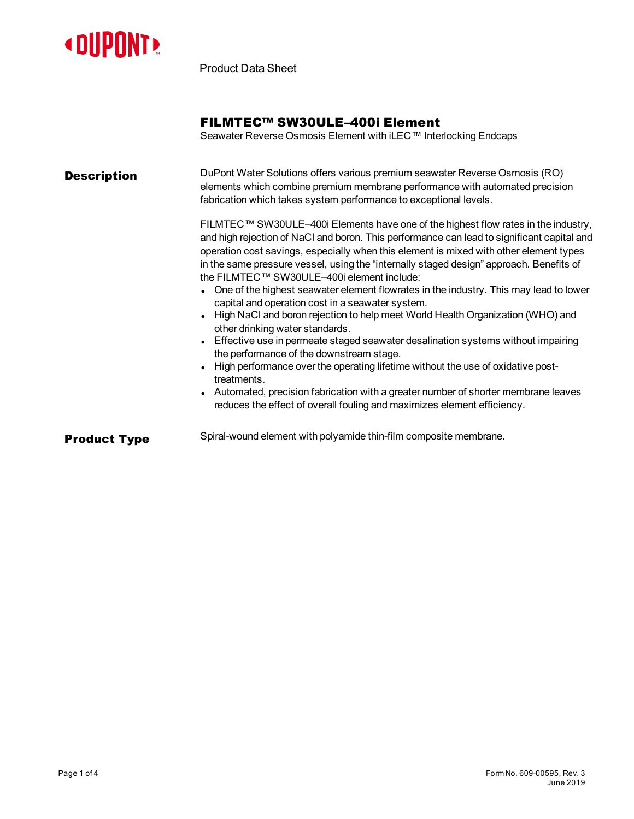

Product Data Sheet

# FILMTEC™ SW30ULE–400i Element

Seawater Reverse Osmosis Element with iLEC™ Interlocking Endcaps

| <b>Description</b>  | DuPont Water Solutions offers various premium seawater Reverse Osmosis (RO)<br>elements which combine premium membrane performance with automated precision<br>fabrication which takes system performance to exceptional levels.<br>FILMTEC™ SW30ULE–400i Elements have one of the highest flow rates in the industry,<br>and high rejection of NaCl and boron. This performance can lead to significant capital and<br>operation cost savings, especially when this element is mixed with other element types<br>in the same pressure vessel, using the "internally staged design" approach. Benefits of<br>the FILMTEC™ SW30ULE-400i element include:<br>One of the highest seawater element flowrates in the industry. This may lead to lower<br>capital and operation cost in a seawater system.<br>• High NaCl and boron rejection to help meet World Health Organization (WHO) and<br>other drinking water standards.<br>• Effective use in permeate staged seawater desalination systems without impairing<br>the performance of the downstream stage.<br>High performance over the operating lifetime without the use of oxidative post-<br>treatments.<br>• Automated, precision fabrication with a greater number of shorter membrane leaves<br>reduces the effect of overall fouling and maximizes element efficiency. |
|---------------------|-----------------------------------------------------------------------------------------------------------------------------------------------------------------------------------------------------------------------------------------------------------------------------------------------------------------------------------------------------------------------------------------------------------------------------------------------------------------------------------------------------------------------------------------------------------------------------------------------------------------------------------------------------------------------------------------------------------------------------------------------------------------------------------------------------------------------------------------------------------------------------------------------------------------------------------------------------------------------------------------------------------------------------------------------------------------------------------------------------------------------------------------------------------------------------------------------------------------------------------------------------------------------------------------------------------------------------------|
| <b>Product Type</b> | Spiral-wound element with polyamide thin-film composite membrane.                                                                                                                                                                                                                                                                                                                                                                                                                                                                                                                                                                                                                                                                                                                                                                                                                                                                                                                                                                                                                                                                                                                                                                                                                                                                 |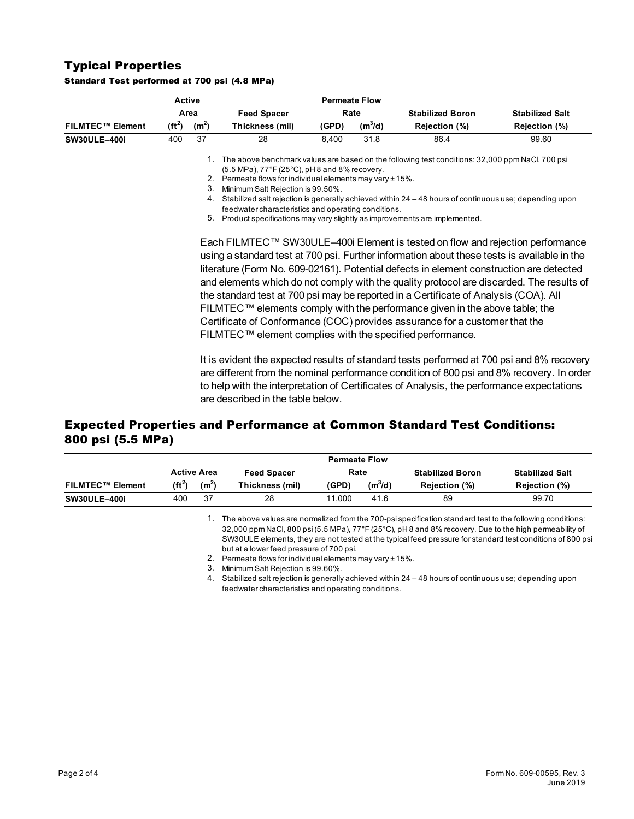## Typical Properties

|                         |           | <b>Active</b>     |                                                                           |       | <b>Permeate Flow</b> |                                                                                                                                                                                                                                                                                                                                                                                                                                                                                                                                                                                                                            |                                                                                                                                                                                        |  |
|-------------------------|-----------|-------------------|---------------------------------------------------------------------------|-------|----------------------|----------------------------------------------------------------------------------------------------------------------------------------------------------------------------------------------------------------------------------------------------------------------------------------------------------------------------------------------------------------------------------------------------------------------------------------------------------------------------------------------------------------------------------------------------------------------------------------------------------------------------|----------------------------------------------------------------------------------------------------------------------------------------------------------------------------------------|--|
|                         |           | Area              | <b>Feed Spacer</b>                                                        |       | Rate                 | <b>Stabilized Boron</b>                                                                                                                                                                                                                                                                                                                                                                                                                                                                                                                                                                                                    | <b>Stabilized Salt</b>                                                                                                                                                                 |  |
| <b>FILMTEC™ Element</b> | $(f t^2)$ | (m <sup>2</sup> ) | Thickness (mil)                                                           | (GPD) | $(m^3/d)$            | Rejection (%)                                                                                                                                                                                                                                                                                                                                                                                                                                                                                                                                                                                                              | Rejection (%)                                                                                                                                                                          |  |
| <b>SW30ULE-400i</b>     | 400       | 37                | 28                                                                        | 8,400 | 31.8                 | 86.4                                                                                                                                                                                                                                                                                                                                                                                                                                                                                                                                                                                                                       | 99.60                                                                                                                                                                                  |  |
|                         |           | 1.                |                                                                           |       |                      | The above benchmark values are based on the following test conditions: 32,000 ppm NaCl, 700 psi                                                                                                                                                                                                                                                                                                                                                                                                                                                                                                                            |                                                                                                                                                                                        |  |
|                         |           |                   | (5.5 MPa), 77°F (25°C), pH8 and 8% recovery.                              |       |                      |                                                                                                                                                                                                                                                                                                                                                                                                                                                                                                                                                                                                                            |                                                                                                                                                                                        |  |
|                         |           | 2.                | Permeate flows for individual elements may vary ± 15%.                    |       |                      |                                                                                                                                                                                                                                                                                                                                                                                                                                                                                                                                                                                                                            |                                                                                                                                                                                        |  |
|                         |           | З.                | Minimum Salt Rejection is 99.50%.                                         |       |                      |                                                                                                                                                                                                                                                                                                                                                                                                                                                                                                                                                                                                                            |                                                                                                                                                                                        |  |
|                         |           | 4.                |                                                                           |       |                      | Stabilized salt rejection is generally achieved within 24 – 48 hours of continuous use; depending upon                                                                                                                                                                                                                                                                                                                                                                                                                                                                                                                     |                                                                                                                                                                                        |  |
|                         |           |                   | feedwater characteristics and operating conditions.                       |       |                      |                                                                                                                                                                                                                                                                                                                                                                                                                                                                                                                                                                                                                            |                                                                                                                                                                                        |  |
|                         |           | 5.                | Product specifications may vary slightly as improvements are implemented. |       |                      |                                                                                                                                                                                                                                                                                                                                                                                                                                                                                                                                                                                                                            |                                                                                                                                                                                        |  |
|                         |           |                   | FILMTEC™ element complies with the specified performance.                 |       |                      | Each FILMTEC™ SW30ULE-400i Element is tested on flow and rejection performance<br>using a standard test at 700 psi. Further information about these tests is available in the<br>literature (Form No. 609-02161). Potential defects in element construction are detected<br>and elements which do not comply with the quality protocol are discarded. The results of<br>the standard test at 700 psi may be reported in a Certificate of Analysis (COA). All<br>FILMTEC™ elements comply with the performance given in the above table; the<br>Certificate of Conformance (COC) provides assurance for a customer that the |                                                                                                                                                                                        |  |
|                         |           |                   |                                                                           |       |                      | to help with the interpretation of Certificates of Analysis, the performance expectations                                                                                                                                                                                                                                                                                                                                                                                                                                                                                                                                  | It is evident the expected results of standard tests performed at 700 psi and 8% recovery<br>are different from the nominal performance condition of 800 psi and 8% recovery. In order |  |

#### Standard Test performed at 700 psi (4.8 MPa)

## Expected Properties and Performance at Common Standard Test Conditions: 800 psi (5.5 MPa)

|                         | <b>Active Area</b> |                   | <b>Feed Spacer</b> | Rate   |           | <b>Stabilized Boron</b> | <b>Stabilized Salt</b> |  |
|-------------------------|--------------------|-------------------|--------------------|--------|-----------|-------------------------|------------------------|--|
| <b>FILMTEC™ Element</b> | (ft $^2$ )         | (m <sup>2</sup> ) | Thickness (mil)    | (GPD)  | $(m^3/d)$ | <b>Rejection (%)</b>    | Rejection (%)          |  |
| <b>SW30ULE-400i</b>     | 400                | 37                | 28                 | 11.000 | 41.6      | 89                      | 99.70                  |  |

1. The above valuesare normalized from the 700-psi specification standard test to the following conditions: 32,000 ppm NaCl, 800 psi (5.5 MPa), 77°F (25°C), pH 8 and 8% recovery. Due to the high permeabilityof SW30ULE elements, they are not tested at the typical feed pressure for standard test conditions of 800 psi but at a lower feed pressure of 700 psi.

2. Permeate flows for individual elements may vary  $\pm 15\%$ .

3. Minimum Salt Rejection is99.60%.

are described in the table below.

4. Stabilized salt rejection is generally achieved within 24 - 48 hours of continuous use; depending upon feedwater characteristicsand operating conditions.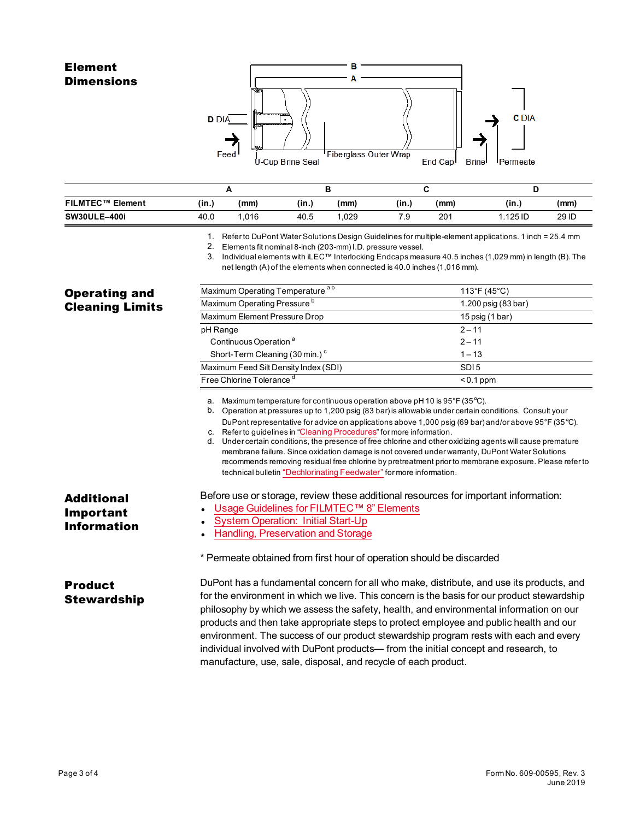# Element **Dimensions**



| FILMTEC™ Element    | (in.) | (mm) | (in., | (mm) | (in., | (mm) | (in.,     | (mm)  |
|---------------------|-------|------|-------|------|-------|------|-----------|-------|
| <b>SW30ULE-400i</b> | 40.0  | .016 | 40.5  | ,029 | 7.9   | 201  | l .125 ID | 29 ID |

1. Refer to DuPont Water Solutions Design Guidelines for multiple-element applications. 1 inch = 25.4 mm

2. Elements fit nominal8-inch (203-mm) I.D. pressure vessel.

3. Individualelements with iLEC™ Interlocking Endcaps measure 40.5 inches (1,029 mm) in length (B). The net length (A)of the elements when connected is40.0 inches (1,016 mm).

| <b>Operating and</b><br><b>Cleaning Limits</b>       | Maximum Operating Temperature <sup>ab</sup>                                                                                                                                                                                                                                                                                                                                                                                                                                                                                                                                                                                                                                                                                                                                                      | 113°F (45°C)        |  |  |  |  |
|------------------------------------------------------|--------------------------------------------------------------------------------------------------------------------------------------------------------------------------------------------------------------------------------------------------------------------------------------------------------------------------------------------------------------------------------------------------------------------------------------------------------------------------------------------------------------------------------------------------------------------------------------------------------------------------------------------------------------------------------------------------------------------------------------------------------------------------------------------------|---------------------|--|--|--|--|
|                                                      | Maximum Operating Pressure <sup>b</sup>                                                                                                                                                                                                                                                                                                                                                                                                                                                                                                                                                                                                                                                                                                                                                          | 1.200 psig (83 bar) |  |  |  |  |
|                                                      | Maximum Element Pressure Drop                                                                                                                                                                                                                                                                                                                                                                                                                                                                                                                                                                                                                                                                                                                                                                    | 15 psig (1 bar)     |  |  |  |  |
|                                                      | pH Range                                                                                                                                                                                                                                                                                                                                                                                                                                                                                                                                                                                                                                                                                                                                                                                         | $2 - 11$            |  |  |  |  |
|                                                      | Continuous Operation <sup>a</sup>                                                                                                                                                                                                                                                                                                                                                                                                                                                                                                                                                                                                                                                                                                                                                                | $2 - 11$            |  |  |  |  |
|                                                      | Short-Term Cleaning (30 min.) <sup>c</sup>                                                                                                                                                                                                                                                                                                                                                                                                                                                                                                                                                                                                                                                                                                                                                       | $1 - 13$            |  |  |  |  |
|                                                      | Maximum Feed Silt Density Index (SDI)                                                                                                                                                                                                                                                                                                                                                                                                                                                                                                                                                                                                                                                                                                                                                            | SDI <sub>5</sub>    |  |  |  |  |
|                                                      | Free Chlorine Tolerance <sup>d</sup>                                                                                                                                                                                                                                                                                                                                                                                                                                                                                                                                                                                                                                                                                                                                                             | $< 0.1$ ppm         |  |  |  |  |
|                                                      | a. Maximum temperature for continuous operation above pH 10 is $95^{\circ}$ F (35 $^{\circ}$ C).<br>b. Operation at pressures up to 1,200 psig (83 bar) is allowable under certain conditions. Consult your<br>DuPont representative for advice on applications above 1,000 psig (69 bar) and/or above 95°F (35°C).<br>c. Refer to guidelines in "Cleaning Procedures" for more information.<br>Under certain conditions, the presence of free chlorine and other oxidizing agents will cause premature<br>d.<br>membrane failure. Since oxidation damage is not covered under warranty, DuPont Water Solutions<br>recommends removing residual free chlorine by pretreatment prior to membrane exposure. Please refer to<br>technical bulletin "Dechlorinating Feedwater" for more information. |                     |  |  |  |  |
| <b>Additional</b><br>Important<br><b>Information</b> | Before use or storage, review these additional resources for important information:<br>Usage Guidelines for FILMTEC™ 8" Elements<br><b>System Operation: Initial Start-Up</b><br>Handling, Preservation and Storage<br>* Permeate obtained from first hour of operation should be discarded                                                                                                                                                                                                                                                                                                                                                                                                                                                                                                      |                     |  |  |  |  |
| <b>Product</b><br><b>Stewardship</b>                 | DuPont has a fundamental concern for all who make, distribute, and use its products, and<br>for the environment in which we live. This concern is the basis for our product stewardship<br>philosophy by which we assess the safety, health, and environmental information on our<br>products and then take appropriate steps to protect employee and public health and our<br>environment. The success of our product stewardship program rests with each and every<br>individual involved with DuPont products— from the initial concept and research, to<br>manufacture, use, sale, disposal, and recycle of each product.                                                                                                                                                                    |                     |  |  |  |  |